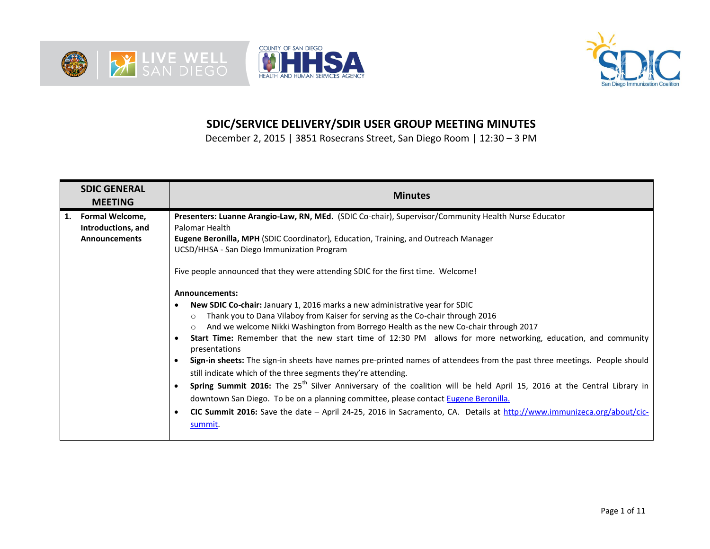





## **SDIC/SERVICE DELIVERY/SDIR USER GROUP MEETING MINUTES**

December 2, 2015 | 3851 Rosecrans Street, San Diego Room | 12:30 – 3 PM

| <b>SDIC GENERAL</b><br><b>MEETING</b>                            | <b>Minutes</b>                                                                                                                                                                                                                                                                                                                                                                                                                                                                                                                                                                                                                                                                                                                                                                                                                                                                                                                                                                                                                                                                                                                                                                                                                                                                                                                                                                                               |
|------------------------------------------------------------------|--------------------------------------------------------------------------------------------------------------------------------------------------------------------------------------------------------------------------------------------------------------------------------------------------------------------------------------------------------------------------------------------------------------------------------------------------------------------------------------------------------------------------------------------------------------------------------------------------------------------------------------------------------------------------------------------------------------------------------------------------------------------------------------------------------------------------------------------------------------------------------------------------------------------------------------------------------------------------------------------------------------------------------------------------------------------------------------------------------------------------------------------------------------------------------------------------------------------------------------------------------------------------------------------------------------------------------------------------------------------------------------------------------------|
| 1. Formal Welcome,<br>Introductions, and<br><b>Announcements</b> | Presenters: Luanne Arangio-Law, RN, MEd. (SDIC Co-chair), Supervisor/Community Health Nurse Educator<br>Palomar Health<br>Eugene Beronilla, MPH (SDIC Coordinator), Education, Training, and Outreach Manager<br>UCSD/HHSA - San Diego Immunization Program<br>Five people announced that they were attending SDIC for the first time. Welcome!<br>Announcements:<br><b>New SDIC Co-chair:</b> January 1, 2016 marks a new administrative year for SDIC<br>Thank you to Dana Vilaboy from Kaiser for serving as the Co-chair through 2016<br>$\Omega$<br>And we welcome Nikki Washington from Borrego Health as the new Co-chair through 2017<br>$\circ$<br>Start Time: Remember that the new start time of 12:30 PM allows for more networking, education, and community<br>$\bullet$<br>presentations<br>Sign-in sheets: The sign-in sheets have names pre-printed names of attendees from the past three meetings. People should<br>$\bullet$<br>still indicate which of the three segments they're attending.<br>Spring Summit 2016: The 25 <sup>th</sup> Silver Anniversary of the coalition will be held April 15, 2016 at the Central Library in<br>$\bullet$<br>downtown San Diego. To be on a planning committee, please contact Eugene Beronilla.<br>CIC Summit 2016: Save the date - April 24-25, 2016 in Sacramento, CA. Details at http://www.immunizeca.org/about/cic-<br>$\bullet$<br>summit. |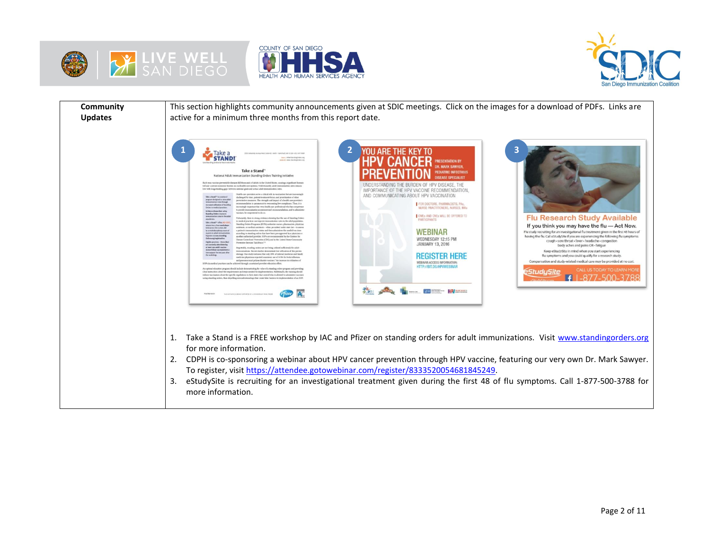





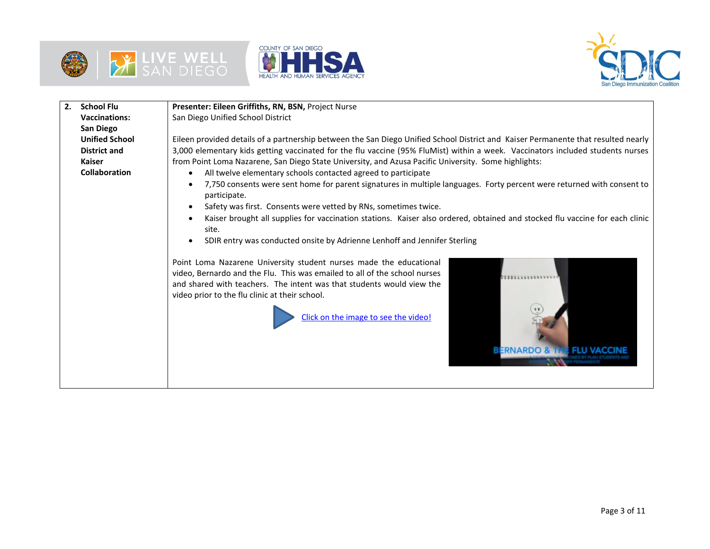





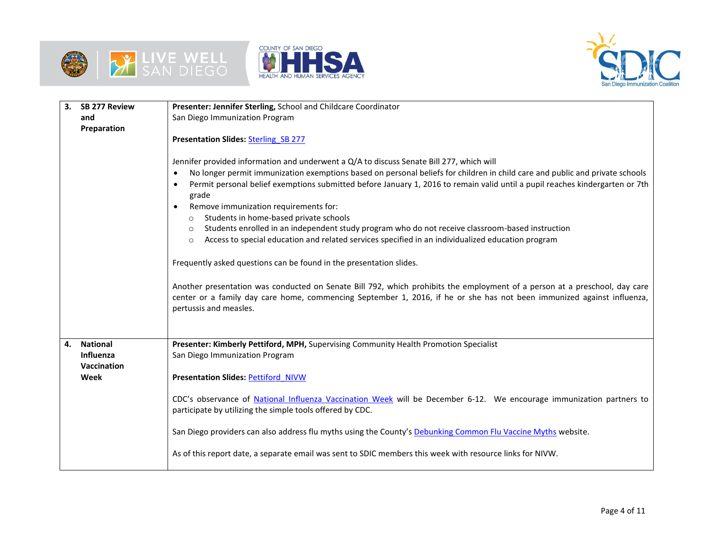





| 3.<br><b>SB 277 Review</b>         | Presenter: Jennifer Sterling, School and Childcare Coordinator                                                                                                                                                                                                                                                                                                                                                                                                                                                                                                                                                                                                                                                                                                                                               |  |  |  |  |  |
|------------------------------------|--------------------------------------------------------------------------------------------------------------------------------------------------------------------------------------------------------------------------------------------------------------------------------------------------------------------------------------------------------------------------------------------------------------------------------------------------------------------------------------------------------------------------------------------------------------------------------------------------------------------------------------------------------------------------------------------------------------------------------------------------------------------------------------------------------------|--|--|--|--|--|
| and                                | San Diego Immunization Program                                                                                                                                                                                                                                                                                                                                                                                                                                                                                                                                                                                                                                                                                                                                                                               |  |  |  |  |  |
| Preparation                        |                                                                                                                                                                                                                                                                                                                                                                                                                                                                                                                                                                                                                                                                                                                                                                                                              |  |  |  |  |  |
|                                    | Presentation Slides: Sterling SB 277                                                                                                                                                                                                                                                                                                                                                                                                                                                                                                                                                                                                                                                                                                                                                                         |  |  |  |  |  |
|                                    | Jennifer provided information and underwent a Q/A to discuss Senate Bill 277, which will<br>No longer permit immunization exemptions based on personal beliefs for children in child care and public and private schools<br>$\bullet$<br>Permit personal belief exemptions submitted before January 1, 2016 to remain valid until a pupil reaches kindergarten or 7th<br>$\bullet$<br>grade<br>Remove immunization requirements for:<br>$\bullet$<br>Students in home-based private schools<br>$\circ$<br>Students enrolled in an independent study program who do not receive classroom-based instruction<br>$\circ$<br>Access to special education and related services specified in an individualized education program<br>$\circ$<br>Frequently asked questions can be found in the presentation slides. |  |  |  |  |  |
|                                    | Another presentation was conducted on Senate Bill 792, which prohibits the employment of a person at a preschool, day care<br>center or a family day care home, commencing September 1, 2016, if he or she has not been immunized against influenza,<br>pertussis and measles.                                                                                                                                                                                                                                                                                                                                                                                                                                                                                                                               |  |  |  |  |  |
| <b>National</b><br>4.<br>Influenza | Presenter: Kimberly Pettiford, MPH, Supervising Community Health Promotion Specialist<br>San Diego Immunization Program                                                                                                                                                                                                                                                                                                                                                                                                                                                                                                                                                                                                                                                                                      |  |  |  |  |  |
| Vaccination<br>Week                | <b>Presentation Slides: Pettiford NIVW</b>                                                                                                                                                                                                                                                                                                                                                                                                                                                                                                                                                                                                                                                                                                                                                                   |  |  |  |  |  |
|                                    | CDC's observance of National Influenza Vaccination Week will be December 6-12. We encourage immunization partners to<br>participate by utilizing the simple tools offered by CDC.                                                                                                                                                                                                                                                                                                                                                                                                                                                                                                                                                                                                                            |  |  |  |  |  |
|                                    | San Diego providers can also address flu myths using the County's Debunking Common Flu Vaccine Myths website.                                                                                                                                                                                                                                                                                                                                                                                                                                                                                                                                                                                                                                                                                                |  |  |  |  |  |
|                                    | As of this report date, a separate email was sent to SDIC members this week with resource links for NIVW.                                                                                                                                                                                                                                                                                                                                                                                                                                                                                                                                                                                                                                                                                                    |  |  |  |  |  |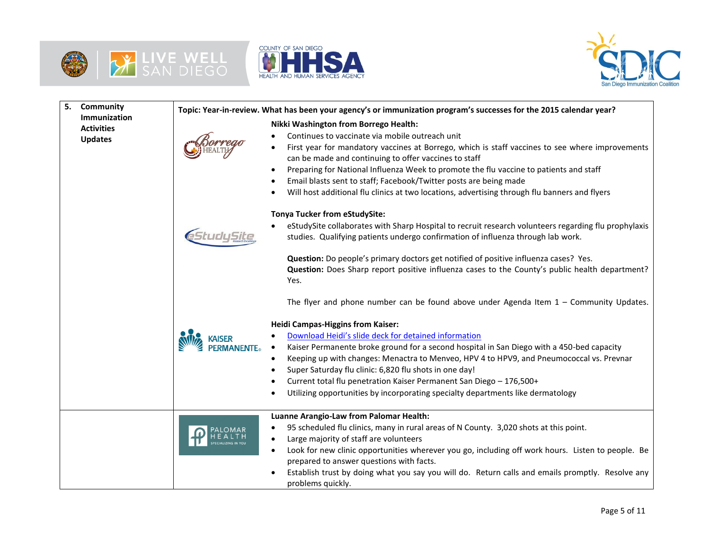







| Community<br>5.                                     |                 | Topic: Year-in-review. What has been your agency's or immunization program's successes for the 2015 calendar year?                                                                                                                                                                                                                                                                                                                                                                                                                                                                                                                                                        |  |  |  |
|-----------------------------------------------------|-----------------|---------------------------------------------------------------------------------------------------------------------------------------------------------------------------------------------------------------------------------------------------------------------------------------------------------------------------------------------------------------------------------------------------------------------------------------------------------------------------------------------------------------------------------------------------------------------------------------------------------------------------------------------------------------------------|--|--|--|
| Immunization<br><b>Activities</b><br><b>Updates</b> |                 | Nikki Washington from Borrego Health:<br>Continues to vaccinate via mobile outreach unit<br>First year for mandatory vaccines at Borrego, which is staff vaccines to see where improvements<br>can be made and continuing to offer vaccines to staff<br>Preparing for National Influenza Week to promote the flu vaccine to patients and staff<br>٠<br>Email blasts sent to staff; Facebook/Twitter posts are being made<br>Will host additional flu clinics at two locations, advertising through flu banners and flyers<br><b>Tonya Tucker from eStudySite:</b><br>eStudySite collaborates with Sharp Hospital to recruit research volunteers regarding flu prophylaxis |  |  |  |
|                                                     |                 | studies. Qualifying patients undergo confirmation of influenza through lab work.<br>Question: Do people's primary doctors get notified of positive influenza cases? Yes.<br>Question: Does Sharp report positive influenza cases to the County's public health department?<br>Yes.<br>The flyer and phone number can be found above under Agenda Item $1 -$ Community Updates.                                                                                                                                                                                                                                                                                            |  |  |  |
|                                                     | <b>MANENTE。</b> | <b>Heidi Campas-Higgins from Kaiser:</b><br>Download Heidi's slide deck for detained information<br>Kaiser Permanente broke ground for a second hospital in San Diego with a 450-bed capacity<br>Keeping up with changes: Menactra to Menveo, HPV 4 to HPV9, and Pneumococcal vs. Prevnar<br>Super Saturday flu clinic: 6,820 flu shots in one day!<br>Current total flu penetration Kaiser Permanent San Diego - 176,500+<br>Utilizing opportunities by incorporating specialty departments like dermatology                                                                                                                                                             |  |  |  |
|                                                     |                 | Luanne Arangio-Law from Palomar Health:<br>95 scheduled flu clinics, many in rural areas of N County. 3,020 shots at this point.<br>Large majority of staff are volunteers<br>$\bullet$<br>Look for new clinic opportunities wherever you go, including off work hours. Listen to people. Be<br>$\bullet$<br>prepared to answer questions with facts.<br>Establish trust by doing what you say you will do. Return calls and emails promptly. Resolve any<br>problems quickly.                                                                                                                                                                                            |  |  |  |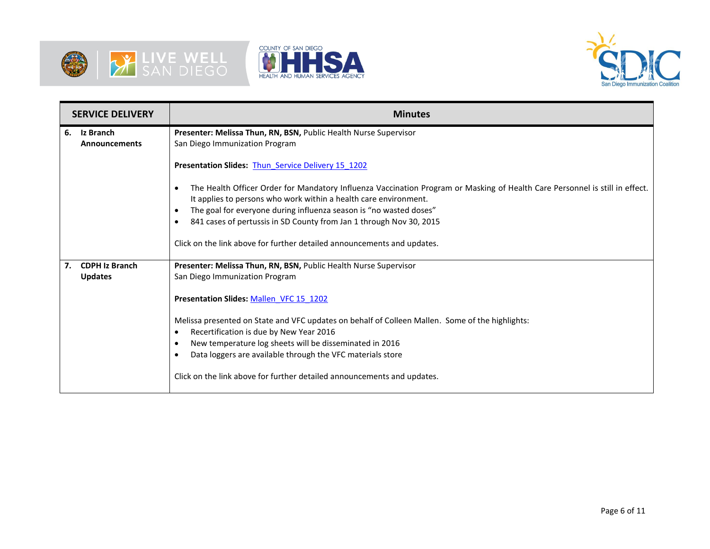





| <b>SERVICE DELIVERY</b> |                                   | <b>Minutes</b>                                                                                                                                                                                                                                                                                                                                                          |  |  |  |  |
|-------------------------|-----------------------------------|-------------------------------------------------------------------------------------------------------------------------------------------------------------------------------------------------------------------------------------------------------------------------------------------------------------------------------------------------------------------------|--|--|--|--|
| 6.                      | Iz Branch<br><b>Announcements</b> | Presenter: Melissa Thun, RN, BSN, Public Health Nurse Supervisor<br>San Diego Immunization Program                                                                                                                                                                                                                                                                      |  |  |  |  |
|                         |                                   | Presentation Slides: Thun Service Delivery 15 1202                                                                                                                                                                                                                                                                                                                      |  |  |  |  |
|                         |                                   | The Health Officer Order for Mandatory Influenza Vaccination Program or Masking of Health Care Personnel is still in effect.<br>It applies to persons who work within a health care environment.<br>The goal for everyone during influenza season is "no wasted doses"<br>$\bullet$<br>841 cases of pertussis in SD County from Jan 1 through Nov 30, 2015<br>$\bullet$ |  |  |  |  |
|                         |                                   | Click on the link above for further detailed announcements and updates.                                                                                                                                                                                                                                                                                                 |  |  |  |  |
| 7.                      | <b>CDPH Iz Branch</b>             | Presenter: Melissa Thun, RN, BSN, Public Health Nurse Supervisor                                                                                                                                                                                                                                                                                                        |  |  |  |  |
|                         | <b>Updates</b>                    | San Diego Immunization Program                                                                                                                                                                                                                                                                                                                                          |  |  |  |  |
|                         |                                   | Presentation Slides: Mallen VFC 15 1202                                                                                                                                                                                                                                                                                                                                 |  |  |  |  |
|                         |                                   | Melissa presented on State and VFC updates on behalf of Colleen Mallen. Some of the highlights:                                                                                                                                                                                                                                                                         |  |  |  |  |
|                         |                                   | Recertification is due by New Year 2016<br>$\bullet$                                                                                                                                                                                                                                                                                                                    |  |  |  |  |
|                         |                                   | New temperature log sheets will be disseminated in 2016<br>٠                                                                                                                                                                                                                                                                                                            |  |  |  |  |
|                         |                                   | Data loggers are available through the VFC materials store<br>٠                                                                                                                                                                                                                                                                                                         |  |  |  |  |
|                         |                                   | Click on the link above for further detailed announcements and updates.                                                                                                                                                                                                                                                                                                 |  |  |  |  |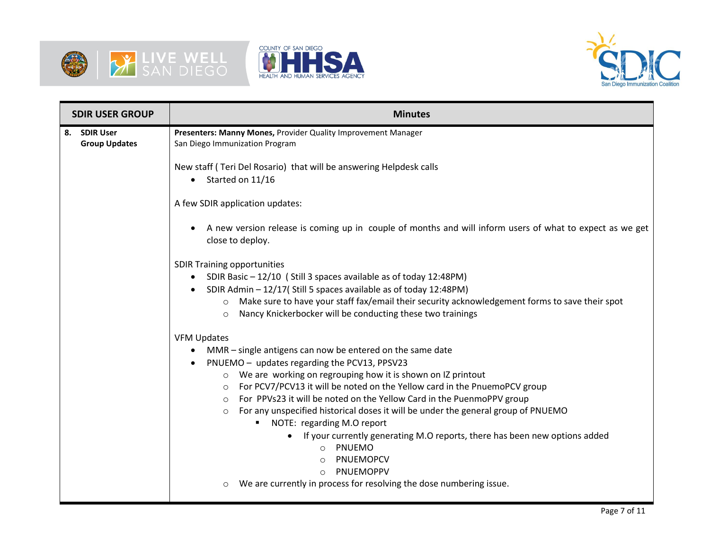





| <b>SDIR USER GROUP</b>               | <b>Minutes</b>                                                                                                                                                                                                                                                                                                                                                                                                                                                                                                                                                                                                                                                                                                                       |  |  |  |  |
|--------------------------------------|--------------------------------------------------------------------------------------------------------------------------------------------------------------------------------------------------------------------------------------------------------------------------------------------------------------------------------------------------------------------------------------------------------------------------------------------------------------------------------------------------------------------------------------------------------------------------------------------------------------------------------------------------------------------------------------------------------------------------------------|--|--|--|--|
| 8. SDIR User<br><b>Group Updates</b> | Presenters: Manny Mones, Provider Quality Improvement Manager<br>San Diego Immunization Program                                                                                                                                                                                                                                                                                                                                                                                                                                                                                                                                                                                                                                      |  |  |  |  |
|                                      | New staff (Teri Del Rosario) that will be answering Helpdesk calls<br>Started on 11/16<br>$\bullet$                                                                                                                                                                                                                                                                                                                                                                                                                                                                                                                                                                                                                                  |  |  |  |  |
|                                      | A few SDIR application updates:                                                                                                                                                                                                                                                                                                                                                                                                                                                                                                                                                                                                                                                                                                      |  |  |  |  |
|                                      | A new version release is coming up in couple of months and will inform users of what to expect as we get<br>close to deploy.                                                                                                                                                                                                                                                                                                                                                                                                                                                                                                                                                                                                         |  |  |  |  |
|                                      | <b>SDIR Training opportunities</b><br>SDIR Basic - 12/10 (Still 3 spaces available as of today 12:48PM)<br>SDIR Admin - 12/17(Still 5 spaces available as of today 12:48PM)<br>$\bullet$<br>Make sure to have your staff fax/email their security acknowledgement forms to save their spot<br>$\circ$<br>Nancy Knickerbocker will be conducting these two trainings<br>$\circ$                                                                                                                                                                                                                                                                                                                                                       |  |  |  |  |
|                                      | <b>VFM Updates</b><br>MMR - single antigens can now be entered on the same date<br>PNUEMO - updates regarding the PCV13, PPSV23<br>○ We are working on regrouping how it is shown on IZ printout<br>For PCV7/PCV13 it will be noted on the Yellow card in the PnuemoPCV group<br>$\circ$<br>For PPVs23 it will be noted on the Yellow Card in the PuenmoPPV group<br>$\circ$<br>For any unspecified historical doses it will be under the general group of PNUEMO<br>$\circ$<br>NOTE: regarding M.O report<br>If your currently generating M.O reports, there has been new options added<br>PNUEMO<br>$\circ$<br>PNUEMOPCV<br>$\circ$<br>PNUEMOPPV<br>$\circ$<br>We are currently in process for resolving the dose numbering issue. |  |  |  |  |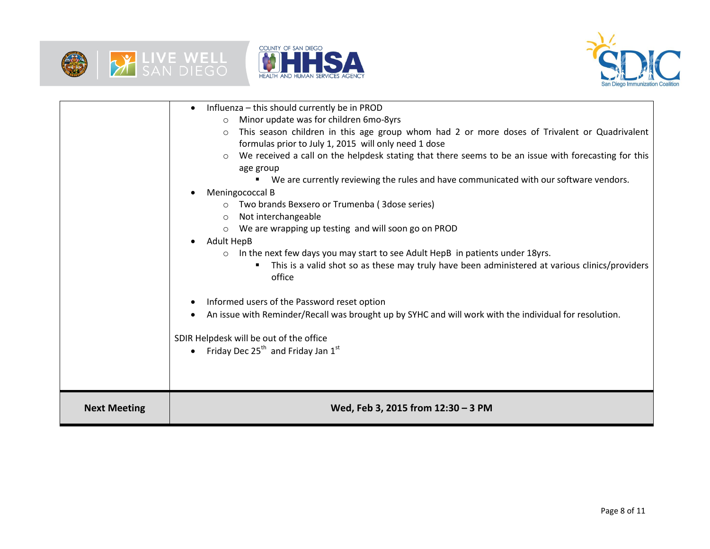





| <b>Next Meeting</b> | Wed, Feb 3, 2015 from 12:30 - 3 PM                                                                                                                                                                                                                                                                                                                                                                                                                                                                                                                                                                                                                                                                                                                                                                                                                                                                                                                                                                                                                                                                            |
|---------------------|---------------------------------------------------------------------------------------------------------------------------------------------------------------------------------------------------------------------------------------------------------------------------------------------------------------------------------------------------------------------------------------------------------------------------------------------------------------------------------------------------------------------------------------------------------------------------------------------------------------------------------------------------------------------------------------------------------------------------------------------------------------------------------------------------------------------------------------------------------------------------------------------------------------------------------------------------------------------------------------------------------------------------------------------------------------------------------------------------------------|
|                     | Minor update was for children 6mo-8yrs<br>$\circ$<br>This season children in this age group whom had 2 or more doses of Trivalent or Quadrivalent<br>$\Omega$<br>formulas prior to July 1, 2015 will only need 1 dose<br>We received a call on the helpdesk stating that there seems to be an issue with forecasting for this<br>age group<br>■ We are currently reviewing the rules and have communicated with our software vendors.<br>Meningococcal B<br>Two brands Bexsero or Trumenba (3dose series)<br>Not interchangeable<br>$\circ$<br>We are wrapping up testing and will soon go on PROD<br>Adult HepB<br>$\bullet$<br>In the next few days you may start to see Adult HepB in patients under 18yrs.<br>$\circ$<br>This is a valid shot so as these may truly have been administered at various clinics/providers<br>office<br>Informed users of the Password reset option<br>An issue with Reminder/Recall was brought up by SYHC and will work with the individual for resolution.<br>SDIR Helpdesk will be out of the office<br>Friday Dec 25 <sup>th</sup> and Friday Jan $1^{st}$<br>$\bullet$ |
|                     | Influenza - this should currently be in PROD<br>$\bullet$                                                                                                                                                                                                                                                                                                                                                                                                                                                                                                                                                                                                                                                                                                                                                                                                                                                                                                                                                                                                                                                     |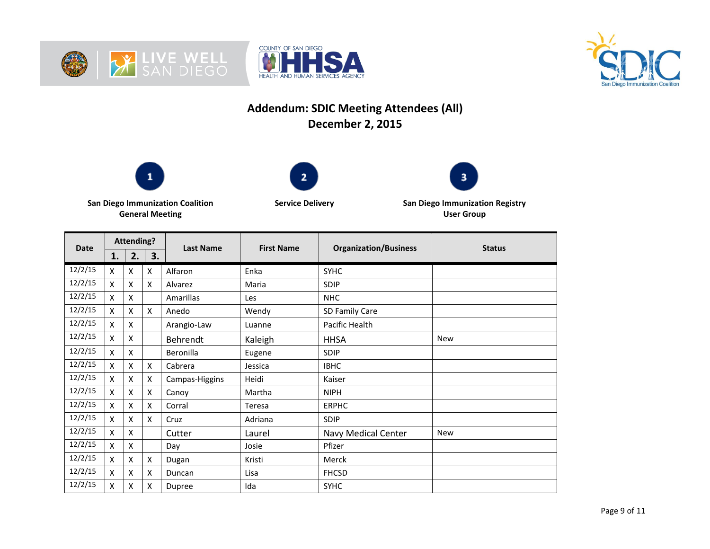





## **Addendum: SDIC Meeting Attendees (All) December 2, 2015**







**San Diego Immunization Coalition General Meeting**

**Service Delivery San Diego Immunization Registry User Group**

| <b>Date</b> | <b>Attending?</b> |    |    | <b>Last Name</b> | <b>First Name</b> | <b>Organization/Business</b> | <b>Status</b> |
|-------------|-------------------|----|----|------------------|-------------------|------------------------------|---------------|
|             | 1.                | 2. | 3. |                  |                   |                              |               |
| 12/2/15     | X                 | X  | X  | Alfaron          | Enka              | <b>SYHC</b>                  |               |
| 12/2/15     | X                 | X  | X  | Alvarez          | Maria             | <b>SDIP</b>                  |               |
| 12/2/15     | x                 | X  |    | Amarillas        | Les               | <b>NHC</b>                   |               |
| 12/2/15     | X                 | X  | X  | Anedo            | Wendy             | SD Family Care               |               |
| 12/2/15     | X                 | X  |    | Arangio-Law      | Luanne            | Pacific Health               |               |
| 12/2/15     | X                 | X  |    | Behrendt         | Kaleigh           | <b>HHSA</b>                  | New           |
| 12/2/15     | X                 | X  |    | Beronilla        | Eugene            | <b>SDIP</b>                  |               |
| 12/2/15     | Χ                 | X  | X  | Cabrera          | Jessica           | <b>IBHC</b>                  |               |
| 12/2/15     | X                 | X  | X  | Campas-Higgins   | Heidi             | Kaiser                       |               |
| 12/2/15     | X                 | X  | X  | Canoy            | Martha            | <b>NIPH</b>                  |               |
| 12/2/15     | X                 | X  | X  | Corral           | Teresa            | <b>ERPHC</b>                 |               |
| 12/2/15     | X                 | X  | X  | Cruz             | Adriana           | <b>SDIP</b>                  |               |
| 12/2/15     | Χ                 | X  |    | Cutter           | Laurel            | Navy Medical Center          | <b>New</b>    |
| 12/2/15     | X                 | X  |    | Day              | Josie             | Pfizer                       |               |
| 12/2/15     | x                 | X  | X  | Dugan            | Kristi            | Merck                        |               |
| 12/2/15     | x                 | X  | X  | Duncan           | Lisa              | <b>FHCSD</b>                 |               |
| 12/2/15     | X                 | X  | X  | Dupree           | Ida               | <b>SYHC</b>                  |               |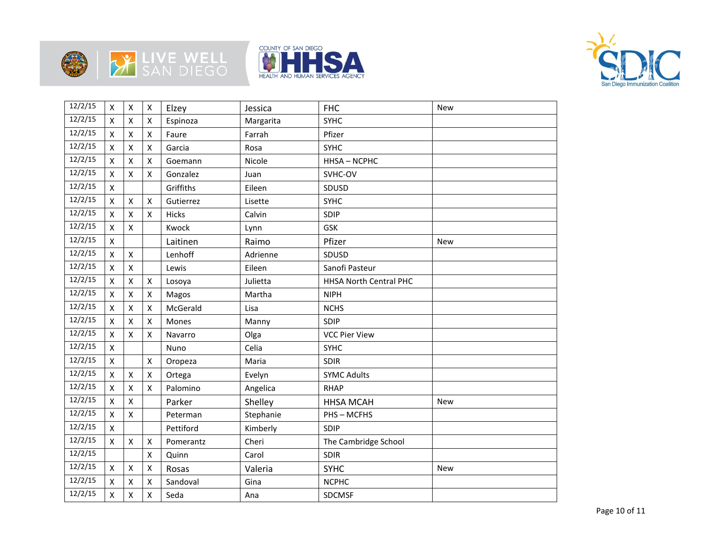







| 12/2/15 | $\pmb{\mathsf{X}}$ | $\mathsf{X}$       | X                  | Elzey     | Jessica   | <b>FHC</b>                    | <b>New</b> |
|---------|--------------------|--------------------|--------------------|-----------|-----------|-------------------------------|------------|
| 12/2/15 | X                  | $\pmb{\times}$     | X                  | Espinoza  | Margarita | <b>SYHC</b>                   |            |
| 12/2/15 | Χ                  | $\pmb{\mathsf{X}}$ | Χ                  | Faure     | Farrah    | Pfizer                        |            |
| 12/2/15 | X                  | $\pmb{\mathsf{X}}$ | X                  | Garcia    | Rosa      | <b>SYHC</b>                   |            |
| 12/2/15 | X                  | $\mathsf{X}$       | Χ                  | Goemann   | Nicole    | HHSA-NCPHC                    |            |
| 12/2/15 | X                  | $\pmb{\mathsf{X}}$ | X                  | Gonzalez  | Juan      | SVHC-OV                       |            |
| 12/2/15 | X                  |                    |                    | Griffiths | Eileen    | SDUSD                         |            |
| 12/2/15 | Χ                  | $\pmb{\mathsf{X}}$ | x                  | Gutierrez | Lisette   | <b>SYHC</b>                   |            |
| 12/2/15 | X                  | $\pmb{\times}$     | X                  | Hicks     | Calvin    | SDIP                          |            |
| 12/2/15 | Χ                  | $\pmb{\times}$     |                    | Kwock     | Lynn      | GSK                           |            |
| 12/2/15 | $\pmb{\mathsf{X}}$ |                    |                    | Laitinen  | Raimo     | Pfizer                        | <b>New</b> |
| 12/2/15 | X                  | X                  |                    | Lenhoff   | Adrienne  | SDUSD                         |            |
| 12/2/15 | $\mathsf{X}$       | $\pmb{\times}$     |                    | Lewis     | Eileen    | Sanofi Pasteur                |            |
| 12/2/15 | X                  | X                  | X                  | Losoya    | Julietta  | <b>HHSA North Central PHC</b> |            |
| 12/2/15 | X                  | $\mathsf{X}$       | Χ                  | Magos     | Martha    | <b>NIPH</b>                   |            |
| 12/2/15 | Χ                  | $\pmb{\mathsf{X}}$ | $\pmb{\mathsf{X}}$ | McGerald  | Lisa      | <b>NCHS</b>                   |            |
| 12/2/15 | X                  | $\pmb{\times}$     | X                  | Mones     | Manny     | SDIP                          |            |
| 12/2/15 | Χ                  | $\pmb{\times}$     | X                  | Navarro   | Olga      | <b>VCC Pier View</b>          |            |
| 12/2/15 | Χ                  |                    |                    | Nuno      | Celia     | <b>SYHC</b>                   |            |
| 12/2/15 | X                  |                    | X                  | Oropeza   | Maria     | <b>SDIR</b>                   |            |
| 12/2/15 | X                  | $\pmb{\times}$     | X                  | Ortega    | Evelyn    | <b>SYMC Adults</b>            |            |
| 12/2/15 | Χ                  | $\pmb{\mathsf{X}}$ | X                  | Palomino  | Angelica  | <b>RHAP</b>                   |            |
| 12/2/15 | $\mathsf{X}$       | $\mathsf{x}$       |                    | Parker    | Shelley   | <b>HHSA MCAH</b>              | <b>New</b> |
| 12/2/15 | X                  | $\pmb{\times}$     |                    | Peterman  | Stephanie | PHS-MCFHS                     |            |
| 12/2/15 | X                  |                    |                    | Pettiford | Kimberly  | SDIP                          |            |
| 12/2/15 | X                  | $\mathsf{x}$       | X                  | Pomerantz | Cheri     | The Cambridge School          |            |
| 12/2/15 |                    |                    | x                  | Quinn     | Carol     | SDIR                          |            |
| 12/2/15 | X                  | X                  | X                  | Rosas     | Valeria   | <b>SYHC</b>                   | <b>New</b> |
| 12/2/15 | Χ                  | $\pmb{\mathsf{X}}$ | Χ                  | Sandoval  | Gina      | <b>NCPHC</b>                  |            |
| 12/2/15 | Χ                  | $\pmb{\mathsf{X}}$ | $\pmb{\mathsf{X}}$ | Seda      | Ana       | SDCMSF                        |            |
|         |                    |                    |                    |           |           |                               |            |